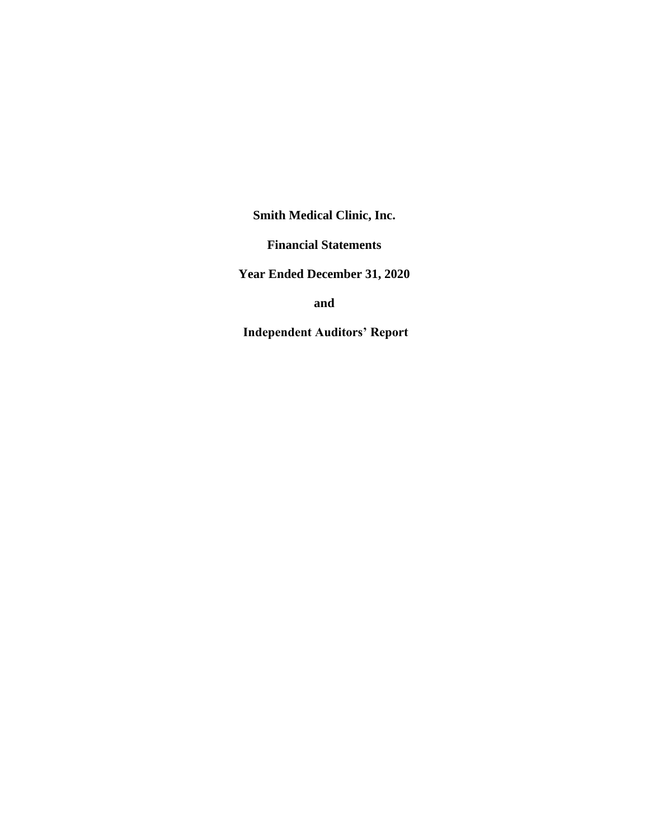**Smith Medical Clinic, Inc.**

**Financial Statements**

**Year Ended December 31, 2020**

**and**

**Independent Auditors' Report**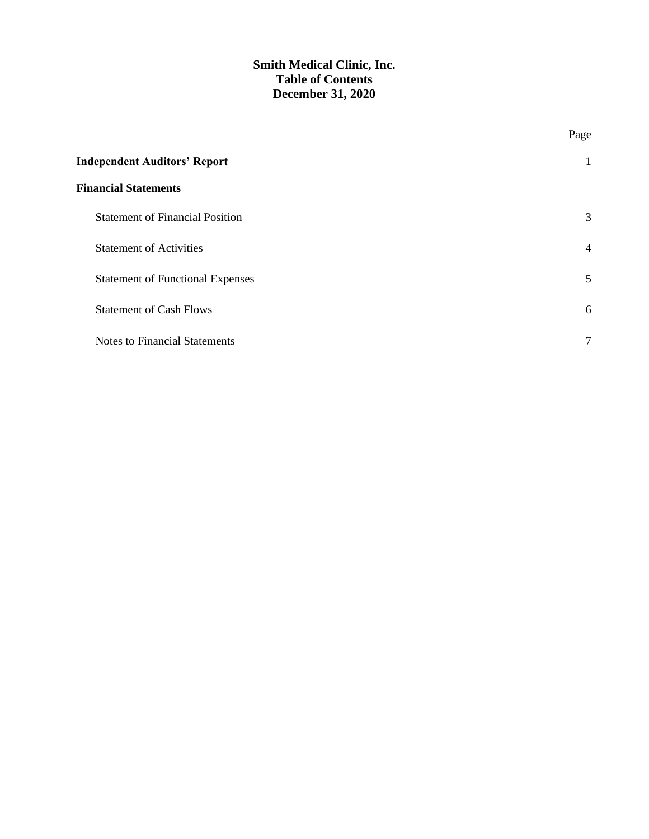# **Smith Medical Clinic, Inc. Table of Contents December 31, 2020**

|                                         | Page           |
|-----------------------------------------|----------------|
| <b>Independent Auditors' Report</b>     |                |
| <b>Financial Statements</b>             |                |
| <b>Statement of Financial Position</b>  | 3              |
| <b>Statement of Activities</b>          | $\overline{4}$ |
| <b>Statement of Functional Expenses</b> | 5              |
| <b>Statement of Cash Flows</b>          | 6              |
| <b>Notes to Financial Statements</b>    | 7              |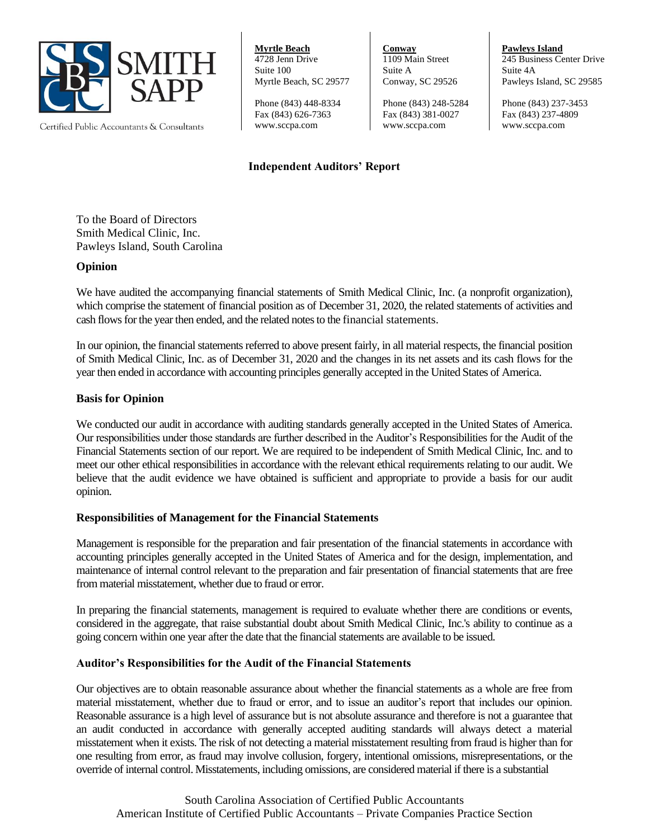

Certified Public Accountants & Consultants

**Myrtle Beach** 4728 Jenn Drive Suite 100 Myrtle Beach, SC 29577

Phone (843) 448-8334 Fax (843) 626-7363 www.sccpa.com

**Conway** 1109 Main Street Suite A Conway, SC 29526

Phone (843) 248-5284 Fax (843) 381-0027 www.sccpa.com

**Pawleys Island** 245 Business Center Drive Suite 4A Pawleys Island, SC 29585

Phone (843) 237-3453 Fax (843) 237-4809 www.sccpa.com

# To the Board of Directors Smith Medical Clinic, Inc. Pawleys Island, South Carolina

## **Opinion**

We have audited the accompanying financial statements of Smith Medical Clinic, Inc. (a nonprofit organization), which comprise the statement of financial position as of December 31, 2020, the related statements of activities and cash flows for the year then ended, and the related notes to the financial statements.

**Independent Auditors' Report**

In our opinion, the financial statements referred to above present fairly, in all material respects, the financial position of Smith Medical Clinic, Inc. as of December 31, 2020 and the changes in its net assets and its cash flows for the year then ended in accordance with accounting principles generally accepted in the United States of America.

## **Basis for Opinion**

We conducted our audit in accordance with auditing standards generally accepted in the United States of America. Our responsibilities under those standards are further described in the Auditor's Responsibilities for the Audit of the Financial Statements section of our report. We are required to be independent of Smith Medical Clinic, Inc. and to meet our other ethical responsibilities in accordance with the relevant ethical requirements relating to our audit. We believe that the audit evidence we have obtained is sufficient and appropriate to provide a basis for our audit opinion.

## **Responsibilities of Management for the Financial Statements**

Management is responsible for the preparation and fair presentation of the financial statements in accordance with accounting principles generally accepted in the United States of America and for the design, implementation, and maintenance of internal control relevant to the preparation and fair presentation of financial statements that are free from material misstatement, whether due to fraud or error.

In preparing the financial statements, management is required to evaluate whether there are conditions or events, considered in the aggregate, that raise substantial doubt about Smith Medical Clinic, Inc.'s ability to continue as a going concern within one year after the date that the financial statements are available to be issued.

## **Auditor's Responsibilities for the Audit of the Financial Statements**

Our objectives are to obtain reasonable assurance about whether the financial statements as a whole are free from material misstatement, whether due to fraud or error, and to issue an auditor's report that includes our opinion. Reasonable assurance is a high level of assurance but is not absolute assurance and therefore is not a guarantee that an audit conducted in accordance with generally accepted auditing standards will always detect a material misstatement when it exists. The risk of not detecting a material misstatement resulting from fraud is higher than for one resulting from error, as fraud may involve collusion, forgery, intentional omissions, misrepresentations, or the override of internal control. Misstatements, including omissions, are considered material if there is a substantial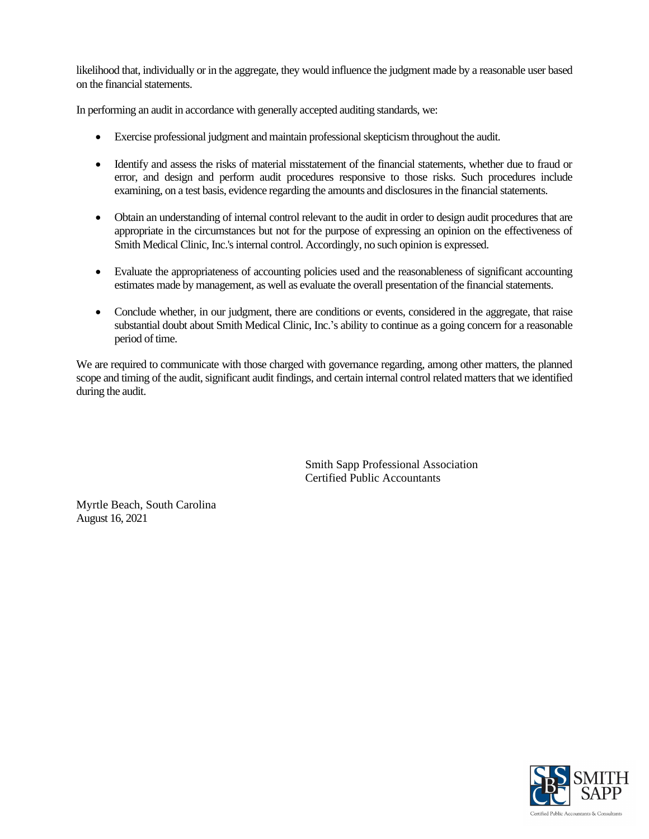likelihood that, individually or in the aggregate, they would influence the judgment made by a reasonable user based on the financial statements.

In performing an audit in accordance with generally accepted auditing standards, we:

- Exercise professional judgment and maintain professional skepticism throughout the audit.
- Identify and assess the risks of material misstatement of the financial statements, whether due to fraud or error, and design and perform audit procedures responsive to those risks. Such procedures include examining, on a test basis, evidence regarding the amounts and disclosures in the financial statements.
- Obtain an understanding of internal control relevant to the audit in order to design audit procedures that are appropriate in the circumstances but not for the purpose of expressing an opinion on the effectiveness of Smith Medical Clinic, Inc.'s internal control. Accordingly, no such opinion is expressed.
- Evaluate the appropriateness of accounting policies used and the reasonableness of significant accounting estimates made by management, as well as evaluate the overall presentation of the financial statements.
- Conclude whether, in our judgment, there are conditions or events, considered in the aggregate, that raise substantial doubt about Smith Medical Clinic, Inc.'s ability to continue as a going concern for a reasonable period of time.

We are required to communicate with those charged with governance regarding, among other matters, the planned scope and timing of the audit, significant audit findings, and certain internal control related matters that we identified during the audit.

> Smith Sapp Professional Association Certified Public Accountants

Myrtle Beach, South Carolina August 16, 2021

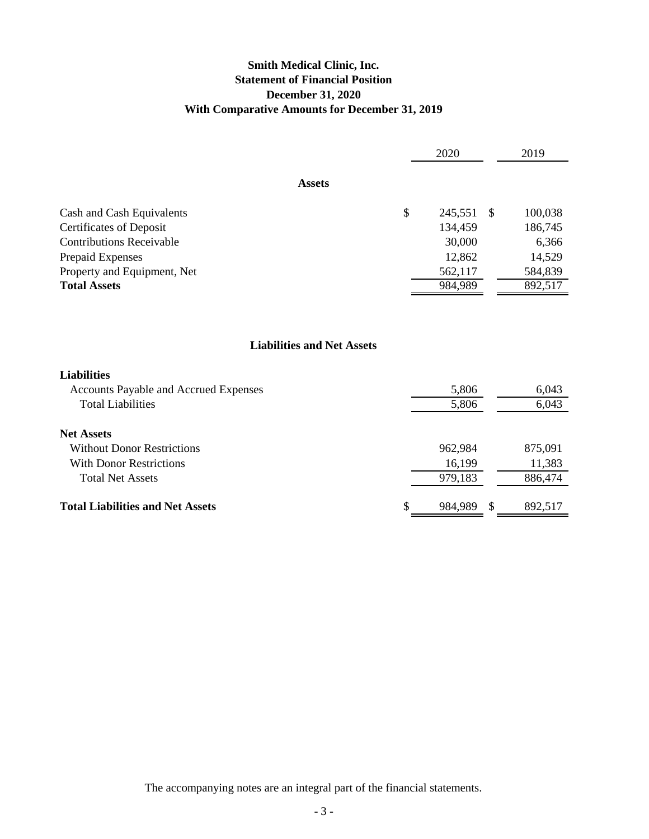## **Smith Medical Clinic, Inc. Statement of Financial Position With Comparative Amounts for December 31, 2019 December 31, 2020**

|                                                         | 2020          | 2019          |
|---------------------------------------------------------|---------------|---------------|
| <b>Assets</b>                                           |               |               |
| Cash and Cash Equivalents                               | \$<br>245,551 | \$<br>100,038 |
| <b>Certificates of Deposit</b>                          | 134,459       | 186,745       |
| <b>Contributions Receivable</b>                         | 30,000        | 6,366         |
| Prepaid Expenses                                        | 12,862        | 14,529        |
| Property and Equipment, Net                             | 562,117       | 584,839       |
| <b>Total Assets</b>                                     | 984,989       | 892,517       |
| <b>Liabilities and Net Assets</b><br><b>Liabilities</b> |               |               |
| <b>Accounts Payable and Accrued Expenses</b>            | 5,806         | 6,043         |
| <b>Total Liabilities</b>                                | 5,806         | 6,043         |
| <b>Net Assets</b>                                       |               |               |
| <b>Without Donor Restrictions</b>                       | 962,984       | 875,091       |
| <b>With Donor Restrictions</b>                          | 16,199        | 11,383        |
| <b>Total Net Assets</b>                                 | 979,183       | 886,474       |
| <b>Total Liabilities and Net Assets</b>                 | 984,989       | \$<br>892,517 |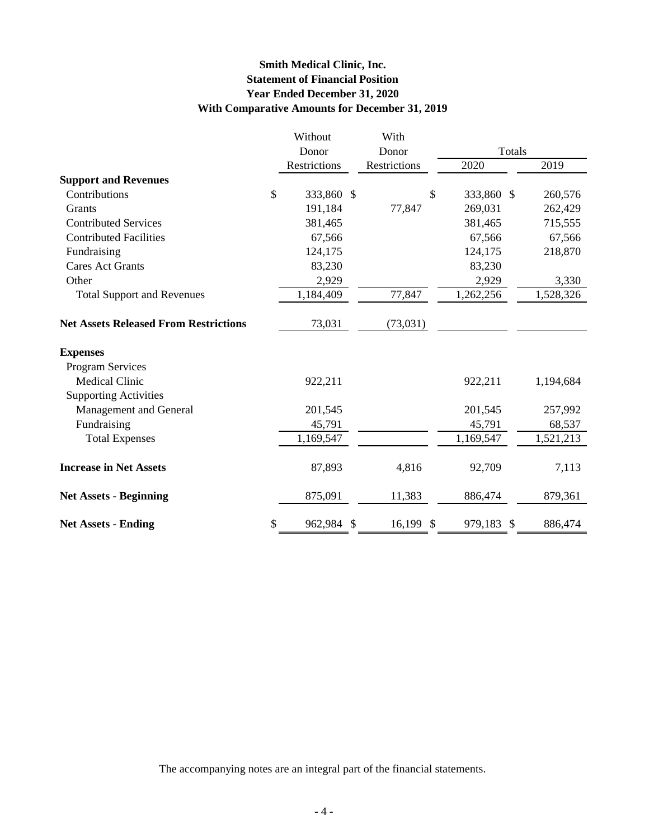## **Smith Medical Clinic, Inc. Statement of Financial Position Year Ended December 31, 2020 With Comparative Amounts for December 31, 2019**

|                                              | Without          | With         |                  |  |           |
|----------------------------------------------|------------------|--------------|------------------|--|-----------|
|                                              | Donor            | Donor        | Totals           |  |           |
|                                              | Restrictions     | Restrictions | 2020             |  | 2019      |
| <b>Support and Revenues</b>                  |                  |              |                  |  |           |
| Contributions                                | \$<br>333,860 \$ |              | \$<br>333,860 \$ |  | 260,576   |
| Grants                                       | 191,184          | 77,847       | 269,031          |  | 262,429   |
| <b>Contributed Services</b>                  | 381,465          |              | 381,465          |  | 715,555   |
| <b>Contributed Facilities</b>                | 67,566           |              | 67,566           |  | 67,566    |
| Fundraising                                  | 124,175          |              | 124,175          |  | 218,870   |
| <b>Cares Act Grants</b>                      | 83,230           |              | 83,230           |  |           |
| Other                                        | 2,929            |              | 2,929            |  | 3,330     |
| <b>Total Support and Revenues</b>            | 1,184,409        | 77,847       | 1,262,256        |  | 1,528,326 |
| <b>Net Assets Released From Restrictions</b> | 73,031           | (73, 031)    |                  |  |           |
| <b>Expenses</b>                              |                  |              |                  |  |           |
| Program Services                             |                  |              |                  |  |           |
| <b>Medical Clinic</b>                        | 922,211          |              | 922,211          |  | 1,194,684 |
| <b>Supporting Activities</b>                 |                  |              |                  |  |           |
| Management and General                       | 201,545          |              | 201,545          |  | 257,992   |
| Fundraising                                  | 45,791           |              | 45,791           |  | 68,537    |
| <b>Total Expenses</b>                        | 1,169,547        |              | 1,169,547        |  | 1,521,213 |
| <b>Increase in Net Assets</b>                | 87,893           | 4,816        | 92,709           |  | 7,113     |
| <b>Net Assets - Beginning</b>                | 875,091          | 11,383       | 886,474          |  | 879,361   |
| <b>Net Assets - Ending</b>                   | \$<br>962,984 \$ | $16,199$ \$  | 979,183 \$       |  | 886,474   |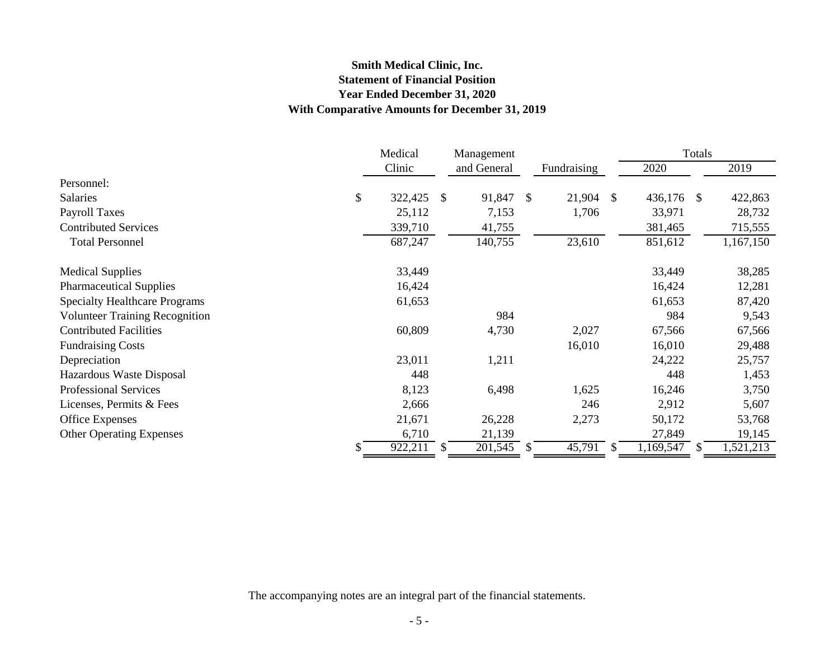## **Smith Medical Clinic, Inc. Statement of Financial Position Year Ended December 31, 2020 With Comparative Amounts for December 31, 2019**

|                                       |               | Medical | Management             |              |              | Totals     |           |
|---------------------------------------|---------------|---------|------------------------|--------------|--------------|------------|-----------|
|                                       |               | Clinic  | and General            | Fundraising  | 2020         |            | 2019      |
| Personnel:                            |               |         |                        |              |              |            |           |
| Salaries                              | $\mathcal{S}$ | 322,425 | 91,847<br>$\mathbb{S}$ | \$<br>21,904 | $\mathbb{S}$ | 436,176 \$ | 422,863   |
| <b>Payroll Taxes</b>                  |               | 25,112  | 7,153                  | 1,706        |              | 33,971     | 28,732    |
| <b>Contributed Services</b>           |               | 339,710 | 41,755                 |              |              | 381,465    | 715,555   |
| <b>Total Personnel</b>                |               | 687,247 | 140,755                | 23,610       |              | 851,612    | 1,167,150 |
| <b>Medical Supplies</b>               |               | 33,449  |                        |              |              | 33,449     | 38,285    |
| <b>Pharmaceutical Supplies</b>        |               | 16,424  |                        |              |              | 16,424     | 12,281    |
| <b>Specialty Healthcare Programs</b>  |               | 61,653  |                        |              |              | 61,653     | 87,420    |
| <b>Volunteer Training Recognition</b> |               |         | 984                    |              |              | 984        | 9,543     |
| <b>Contributed Facilities</b>         |               | 60,809  | 4,730                  | 2,027        |              | 67,566     | 67,566    |
| <b>Fundraising Costs</b>              |               |         |                        | 16,010       |              | 16,010     | 29,488    |
| Depreciation                          |               | 23,011  | 1,211                  |              |              | 24,222     | 25,757    |
| Hazardous Waste Disposal              |               | 448     |                        |              |              | 448        | 1,453     |
| <b>Professional Services</b>          |               | 8,123   | 6,498                  | 1,625        |              | 16,246     | 3,750     |
| Licenses, Permits & Fees              |               | 2,666   |                        | 246          |              | 2,912      | 5,607     |
| Office Expenses                       |               | 21,671  | 26,228                 | 2,273        |              | 50,172     | 53,768    |
| <b>Other Operating Expenses</b>       |               | 6,710   | 21,139                 |              |              | 27,849     | 19,145    |
|                                       |               | 922,211 | 201,545                | 45,791       | 1,169,547    |            | 1,521,213 |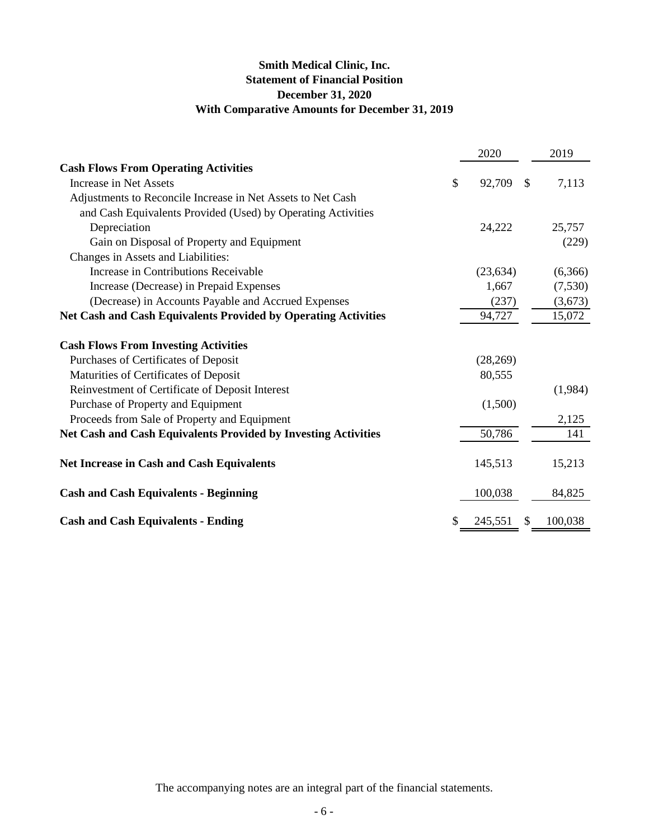## **Smith Medical Clinic, Inc. Statement of Financial Position December 31, 2020 With Comparative Amounts for December 31, 2019**

|                                                                | 2020                | 2019    |
|----------------------------------------------------------------|---------------------|---------|
| <b>Cash Flows From Operating Activities</b>                    |                     |         |
| Increase in Net Assets                                         | \$<br>92,709<br>\$  | 7,113   |
| Adjustments to Reconcile Increase in Net Assets to Net Cash    |                     |         |
| and Cash Equivalents Provided (Used) by Operating Activities   |                     |         |
| Depreciation                                                   | 24,222              | 25,757  |
| Gain on Disposal of Property and Equipment                     |                     | (229)   |
| Changes in Assets and Liabilities:                             |                     |         |
| Increase in Contributions Receivable                           | (23, 634)           | (6,366) |
| Increase (Decrease) in Prepaid Expenses                        | 1,667               | (7,530) |
| (Decrease) in Accounts Payable and Accrued Expenses            | (237)               | (3,673) |
| Net Cash and Cash Equivalents Provided by Operating Activities | 94,727              | 15,072  |
| <b>Cash Flows From Investing Activities</b>                    |                     |         |
| Purchases of Certificates of Deposit                           | (28, 269)           |         |
| Maturities of Certificates of Deposit                          | 80,555              |         |
| Reinvestment of Certificate of Deposit Interest                |                     | (1,984) |
| Purchase of Property and Equipment                             | (1,500)             |         |
| Proceeds from Sale of Property and Equipment                   |                     | 2,125   |
| Net Cash and Cash Equivalents Provided by Investing Activities | 50,786              | 141     |
| <b>Net Increase in Cash and Cash Equivalents</b>               | 145,513             | 15,213  |
| <b>Cash and Cash Equivalents - Beginning</b>                   | 100,038             | 84,825  |
| <b>Cash and Cash Equivalents - Ending</b>                      | \$<br>245,551<br>\$ | 100,038 |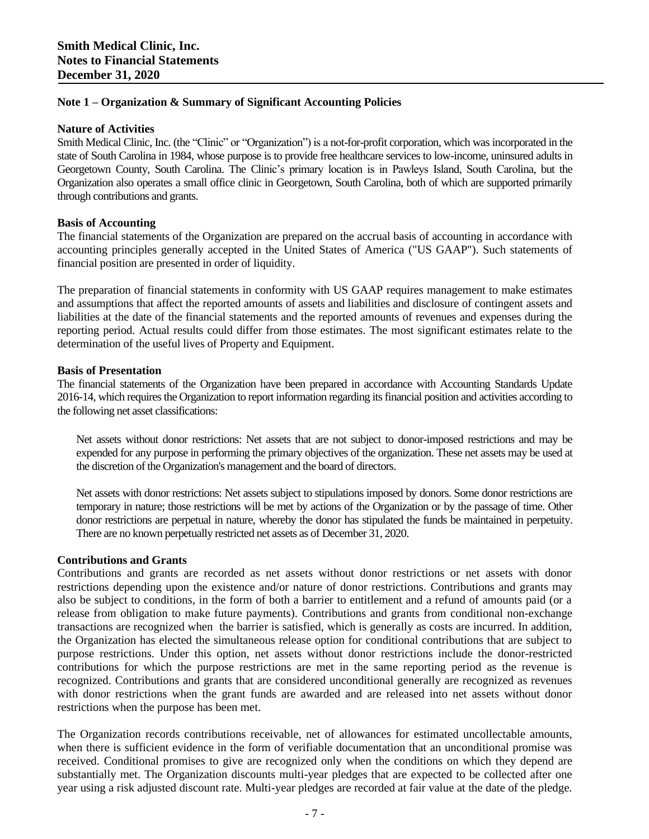## **Note 1 – Organization & Summary of Significant Accounting Policies**

## **Nature of Activities**

Smith Medical Clinic, Inc. (the "Clinic" or "Organization") is a not-for-profit corporation, which was incorporated in the state of South Carolina in 1984, whose purpose is to provide free healthcare services to low-income, uninsured adults in Georgetown County, South Carolina. The Clinic's primary location is in Pawleys Island, South Carolina, but the Organization also operates a small office clinic in Georgetown, South Carolina, both of which are supported primarily through contributions and grants.

## **Basis of Accounting**

The financial statements of the Organization are prepared on the accrual basis of accounting in accordance with accounting principles generally accepted in the United States of America ("US GAAP"). Such statements of financial position are presented in order of liquidity.

The preparation of financial statements in conformity with US GAAP requires management to make estimates and assumptions that affect the reported amounts of assets and liabilities and disclosure of contingent assets and liabilities at the date of the financial statements and the reported amounts of revenues and expenses during the reporting period. Actual results could differ from those estimates. The most significant estimates relate to the determination of the useful lives of Property and Equipment.

## **Basis of Presentation**

The financial statements of the Organization have been prepared in accordance with Accounting Standards Update 2016-14, which requires the Organization to report information regarding its financial position and activities according to the following net asset classifications:

Net assets without donor restrictions: Net assets that are not subject to donor-imposed restrictions and may be expended for any purpose in performing the primary objectives of the organization. These net assets may be used at the discretion of the Organization's management and the board of directors.

Net assets with donor restrictions: Net assets subject to stipulations imposed by donors. Some donor restrictions are temporary in nature; those restrictions will be met by actions of the Organization or by the passage of time. Other donor restrictions are perpetual in nature, whereby the donor has stipulated the funds be maintained in perpetuity. There are no known perpetually restricted net assets as of December 31, 2020.

## **Contributions and Grants**

Contributions and grants are recorded as net assets without donor restrictions or net assets with donor restrictions depending upon the existence and/or nature of donor restrictions. Contributions and grants may also be subject to conditions, in the form of both a barrier to entitlement and a refund of amounts paid (or a release from obligation to make future payments). Contributions and grants from conditional non-exchange transactions are recognized when the barrier is satisfied, which is generally as costs are incurred. In addition, the Organization has elected the simultaneous release option for conditional contributions that are subject to purpose restrictions. Under this option, net assets without donor restrictions include the donor-restricted contributions for which the purpose restrictions are met in the same reporting period as the revenue is recognized. Contributions and grants that are considered unconditional generally are recognized as revenues with donor restrictions when the grant funds are awarded and are released into net assets without donor restrictions when the purpose has been met.

The Organization records contributions receivable, net of allowances for estimated uncollectable amounts, when there is sufficient evidence in the form of verifiable documentation that an unconditional promise was received. Conditional promises to give are recognized only when the conditions on which they depend are substantially met. The Organization discounts multi-year pledges that are expected to be collected after one year using a risk adjusted discount rate. Multi-year pledges are recorded at fair value at the date of the pledge.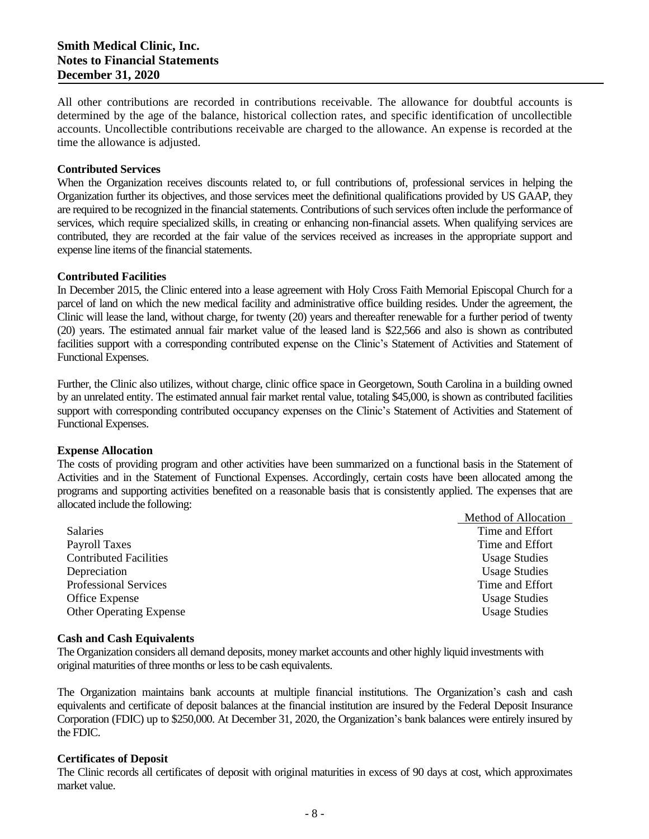All other contributions are recorded in contributions receivable. The allowance for doubtful accounts is determined by the age of the balance, historical collection rates, and specific identification of uncollectible accounts. Uncollectible contributions receivable are charged to the allowance. An expense is recorded at the time the allowance is adjusted.

## **Contributed Services**

When the Organization receives discounts related to, or full contributions of, professional services in helping the Organization further its objectives, and those services meet the definitional qualifications provided by US GAAP, they are required to be recognized in the financial statements. Contributions of such services often include the performance of services, which require specialized skills, in creating or enhancing non-financial assets. When qualifying services are contributed, they are recorded at the fair value of the services received as increases in the appropriate support and expense line items of the financial statements.

## **Contributed Facilities**

In December 2015, the Clinic entered into a lease agreement with Holy Cross Faith Memorial Episcopal Church for a parcel of land on which the new medical facility and administrative office building resides. Under the agreement, the Clinic will lease the land, without charge, for twenty (20) years and thereafter renewable for a further period of twenty (20) years. The estimated annual fair market value of the leased land is \$22,566 and also is shown as contributed facilities support with a corresponding contributed expense on the Clinic's Statement of Activities and Statement of Functional Expenses.

Further, the Clinic also utilizes, without charge, clinic office space in Georgetown, South Carolina in a building owned by an unrelated entity. The estimated annual fair market rental value, totaling \$45,000, is shown as contributed facilities support with corresponding contributed occupancy expenses on the Clinic's Statement of Activities and Statement of Functional Expenses.

#### **Expense Allocation**

The costs of providing program and other activities have been summarized on a functional basis in the Statement of Activities and in the Statement of Functional Expenses. Accordingly, certain costs have been allocated among the programs and supporting activities benefited on a reasonable basis that is consistently applied. The expenses that are allocated include the following:

Salaries Time and Effort and Salaries Time and Effort and Effort and Effort and Effort and Effort and Effort and Effort and Effort and Effort and Effort and Effort and Effort and Effort and Effort and Effort and Effort and Payroll Taxes Time and Effort Contributed Facilities Usage Studies Depreciation Usage Studies Professional Services **Time and Effort** Time and Effort Office Expense Usage Studies Other Operating Expense Usage Studies

Method of Allocation

## **Cash and Cash Equivalents**

The Organization considers all demand deposits, money market accounts and other highly liquid investments with original maturities of three months or less to be cash equivalents.

The Organization maintains bank accounts at multiple financial institutions. The Organization's cash and cash equivalents and certificate of deposit balances at the financial institution are insured by the Federal Deposit Insurance Corporation (FDIC) up to \$250,000. At December 31, 2020, the Organization's bank balances were entirely insured by the FDIC.

#### **Certificates of Deposit**

The Clinic records all certificates of deposit with original maturities in excess of 90 days at cost, which approximates market value.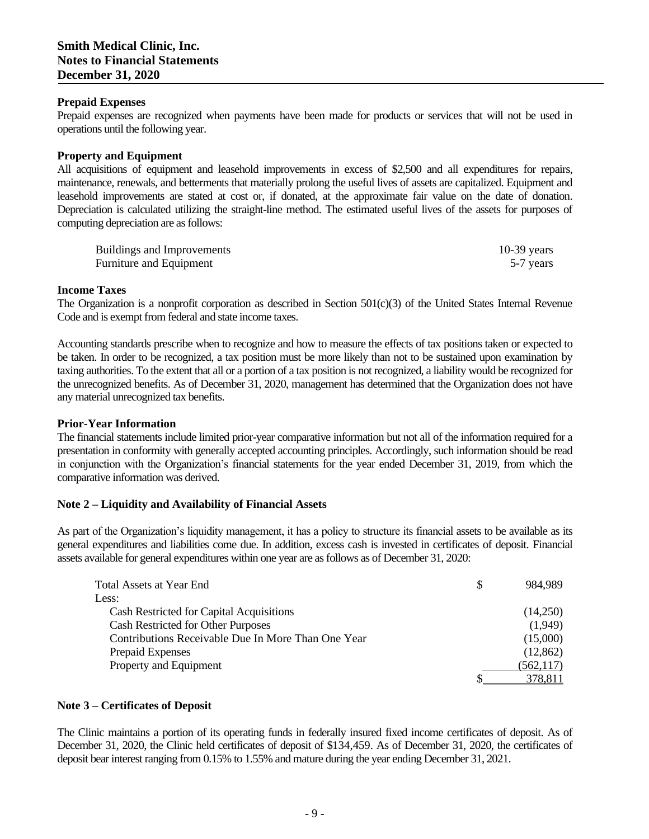## **Prepaid Expenses**

Prepaid expenses are recognized when payments have been made for products or services that will not be used in operations until the following year.

## **Property and Equipment**

All acquisitions of equipment and leasehold improvements in excess of \$2,500 and all expenditures for repairs, maintenance, renewals, and betterments that materially prolong the useful lives of assets are capitalized. Equipment and leasehold improvements are stated at cost or, if donated, at the approximate fair value on the date of donation. Depreciation is calculated utilizing the straight-line method. The estimated useful lives of the assets for purposes of computing depreciation are as follows:

| Buildings and Improvements | $10-39$ years |
|----------------------------|---------------|
| Furniture and Equipment    | 5-7 years     |

## **Income Taxes**

The Organization is a nonprofit corporation as described in Section  $501(c)(3)$  of the United States Internal Revenue Code and is exempt from federal and state income taxes.

Accounting standards prescribe when to recognize and how to measure the effects of tax positions taken or expected to be taken. In order to be recognized, a tax position must be more likely than not to be sustained upon examination by taxing authorities. To the extent that all or a portion of a tax position is not recognized, a liability would be recognized for the unrecognized benefits. As of December 31, 2020, management has determined that the Organization does not have any material unrecognized tax benefits.

#### **Prior-Year Information**

The financial statements include limited prior-year comparative information but not all of the information required for a presentation in conformity with generally accepted accounting principles. Accordingly, such information should be read in conjunction with the Organization's financial statements for the year ended December 31, 2019, from which the comparative information was derived.

## **Note 2 – Liquidity and Availability of Financial Assets**

As part of the Organization's liquidity management, it has a policy to structure its financial assets to be available as its general expenditures and liabilities come due. In addition, excess cash is invested in certificates of deposit. Financial assets available for general expenditures within one year are as follows as of December 31, 2020:

| Total Assets at Year End                           | 984.989    |
|----------------------------------------------------|------------|
| Less:                                              |            |
| Cash Restricted for Capital Acquisitions           | (14,250)   |
| <b>Cash Restricted for Other Purposes</b>          | (1,949)    |
| Contributions Receivable Due In More Than One Year | (15,000)   |
| Prepaid Expenses                                   | (12, 862)  |
| Property and Equipment                             | (562, 117) |
|                                                    |            |

## **Note 3 – Certificates of Deposit**

The Clinic maintains a portion of its operating funds in federally insured fixed income certificates of deposit. As of December 31, 2020, the Clinic held certificates of deposit of \$134,459. As of December 31, 2020, the certificates of deposit bear interest ranging from 0.15% to 1.55% and mature during the year ending December 31, 2021.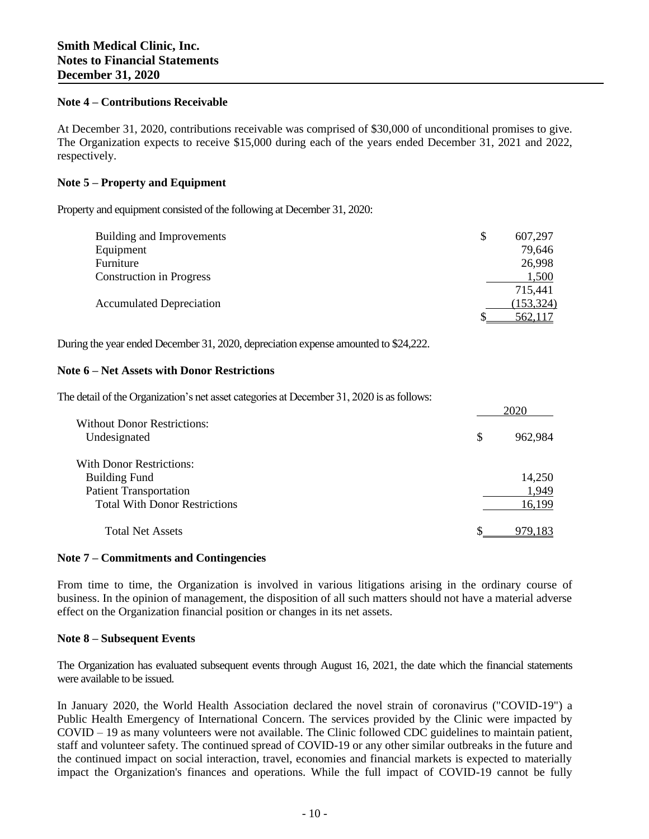## **Note 4 – Contributions Receivable**

At December 31, 2020, contributions receivable was comprised of \$30,000 of unconditional promises to give. The Organization expects to receive \$15,000 during each of the years ended December 31, 2021 and 2022, respectively.

## **Note 5 – Property and Equipment**

Property and equipment consisted of the following at December 31, 2020:

| Building and Improvements       | 607.297    |
|---------------------------------|------------|
| Equipment                       | 79,646     |
| Furniture                       | 26,998     |
| <b>Construction in Progress</b> | 1,500      |
|                                 | 715,441    |
| <b>Accumulated Depreciation</b> | (153, 324) |
|                                 | 562,117    |

During the year ended December 31, 2020, depreciation expense amounted to \$24,222.

## **Note 6 – Net Assets with Donor Restrictions**

The detail of the Organization's net asset categories at December 31, 2020 is as follows:

|   | ∠∪∠∪    |
|---|---------|
| S | 962,984 |
|   |         |
|   | 14,250  |
|   | 1,949   |
|   | 16,199  |
|   |         |
|   |         |

 $2020$ 

#### **Note 7 – Commitments and Contingencies**

From time to time, the Organization is involved in various litigations arising in the ordinary course of business. In the opinion of management, the disposition of all such matters should not have a material adverse effect on the Organization financial position or changes in its net assets.

#### **Note 8 – Subsequent Events**

The Organization has evaluated subsequent events through August 16, 2021, the date which the financial statements were available to be issued.

In January 2020, the World Health Association declared the novel strain of coronavirus ("COVID-19") a Public Health Emergency of International Concern. The services provided by the Clinic were impacted by COVID – 19 as many volunteers were not available. The Clinic followed CDC guidelines to maintain patient, staff and volunteer safety. The continued spread of COVID-19 or any other similar outbreaks in the future and the continued impact on social interaction, travel, economies and financial markets is expected to materially impact the Organization's finances and operations. While the full impact of COVID-19 cannot be fully